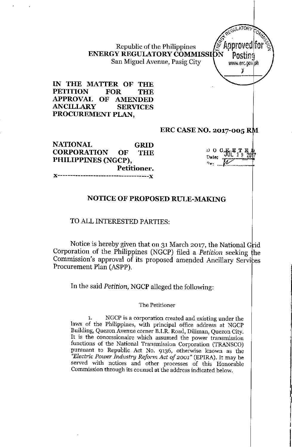Republic of the Philippines **ENERGY REGULATORY COMMISSION** San Miguel Avenue, Pasig City V www.erc.gov ph

**IN THE MATTER OF THE PETITION FOR THE APPROVAL OF AMENDED ANCILLARY SERVICES PROCUREMENT PLAN,**

#### **ERC CASE NO. 2017-005**

**GRID THE NATIONAL CORPORATION OF PHILIPPINES (NGCP), Petitioner. J(------------------------------------J(**

 $D$   $C^*K$   $E$   $L$   $E$   $\overline{F}$ • JUL 1 9 207 **Date. ".\_.. .** *qv: ..\_\_ \_••.*

I

J

I

*r~'*'I.ATORr "-~u *0*  $\int \mathcal{R}^{\mathcal{C}}$   $\int M_{\mathcal{C}}$ 

". Approved for

*'j*

# **NOTICE OF PROPOSED RULE-MAKING**

#### TO ALL INTERESTED PARTIES:

Notice is hereby given that on 31 March 2017, the National Grid Corporation of the Philippines (NGCP) filed a *Petition* seeking he Commission's approval of its proposed amended Ancillary Services Procurement Plan (ASPP).

In the said *Petition,* NGCP alleged the following:

#### **The Petitioner**

**1. NGCP is a corporation created and existing under the** laws of the Philippines, with principal office address at NGCP **Building, Quezon Avenue corner B.I.R. Road, Diliman, Quezon City. It is the concessionaire which assumed the power transmission functions of the National Transmission Corporation (TRANSCO) pursuant to Republic Act No. 9136, otherwise known as the** *"Electric Power Industry Reform Act of 2001"* (EPlRA). It may be **served vvith notices and other processes of this Honorable Commission through its counsel at the address indicated below.**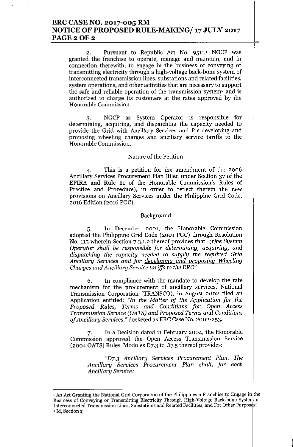## ERC CASE NO. 2017-005 RM NOTICE OF PROPOSED RULE-MAKING/ 17 JULY 2017 PAGE 2 OF 2

2. Pursuant to Republic Act No. 9511,' NGCP was granted the franchise to operate, manage and maintain, and in connection therewith, to engage in the business of conveying or transmitting electricity through a high-voltage back-bone system of interconnected transmission lines, substations and related facilities, system operations, and other activities that are necessary to support the safe and reliable operation of the transmission system<sup>2</sup> and is authorized to charge its customers at the rates approved by the Honorable Commission.

3. NGCP as System Operator is responsible for determining, acquiring, and dispatching the capacity needed to provide the Grid with Ancillary Services and for developing and proposing wheeling charges and ancillary service tariffs to the Honorable Commission.

#### Nature of the Petition

4. This is a petition for the amendment of the 2006 Ancillary Services Procurement Plan (filed under Section 37 of the EPlRA and Rule 21 of the Honorable Commission's Rules of Practice and Procedure), in order to reflect therein the new provisions on Ancillary Services under the Philippine Grid Code, 2016 Edition (2016 PGC).

#### Background

5. In December 2001, the Honorable Commission adopted the Philippine Grid Code (2001 PGC) through Resolution No. 115 wherein Section 7.3.1.2 thereof provides that *"(t)he System Operator shall be responsible for determining, acquiring, and dispatching the capacity needed to supply the required Grid Ancillary Services and for developing and proposing Wheeling Charges and Ancillary Service tariffs to the ERC".*

6. In compliance with the mandate to develop the rate mechanism for the procurement of ancillary services, National Transmission Corporation (TRANSCO), in August 2002 filed an Application entitled: *"In the Matter of the Application for the Proposed Rules, Terms and Conditions for Open Access Transmission Service (OATS) and Proposed Terms and Conditions of Ancillary Services,"* docketed as ERC Case No. 2002-253.

7. In a Decision dated 11 February 2004, the Honorable Commission approved the Open Access Transmission Service (2004 OATS) Rules. Modules D7.3 to D7.5 thereof provides:

*"D7.3 Ancillary Services Procurement Plan. The Ancillary Services Procurement Plan shall, for each Ancillary Service:*

I

<sup>&</sup>lt;sup>1</sup> An Act Granting the National Grid Corporation of the Philippines a Franchise to Engage in the Business of Conveying or Transmitting Electricity Through High-Voltage Back-bone System or Interconnected Transmission Lines, Substations and Related Facilities, and For Other Purposes; <sup>2</sup> Id, Section 1;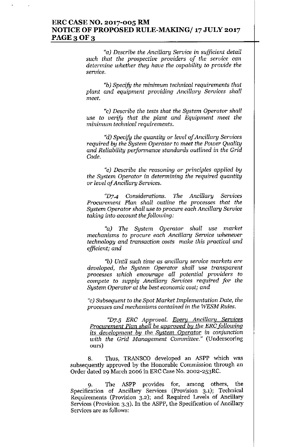### **ERC CASE NO. 2017-005 RM NOTICE OF PROPOSED RULE-MAKING/ 17JULY 2017 PAGE30F3**

*"a) Describe the Ancillary Service* in *sufficient detail such that the prospective providers of the service can determine whether they have the capability* to *provide the* service.

*"b) Specify the minimum technical requirements that plant and equipment providing Ancillary Services shall meet.*

*"c) Describe the tests that the System Operator shall use* to *verify that the plant and Equipment meet the minimum technical requirements.*

*"d) Specify the quantity* or *level of Ancillary Services required by the System Operator* to *meet the Power Quality and Reliability performance standards outlined* in *the* Grid *Code.*

*"e) Describe the reasoning* or *principles applied by the System Operator* **in** *determining the required quantity* or *level of Ancillary Services.*

*(fD7.4 Considerations. The Ancillary Services Procurement Plan shall outline the processes that the System Operator shall use to procure each Ancillary Service taking* into *account thefollowing:*

*"a) The System Operator shall use market mechanisms to procure each Ancillary Service whenever technology and transaction costs make this practical and efficient; and*

*"b) Until such time* **as** *ancillary service markets are developed, the System Operator shall use transparent processes which encourage all potential providers* **to** *compete* to *supply Ancillary Services required for the System Operator at the best economic cost; and*

**"c)** *Subsequent to the Spot Market Implementation Date, the processes and mechanisms contained* **in** *the WESM Rules.*

*"D7-5 ERC Approval. Every Ancillary Services Procurement Plan shall be approved by the ERC following its development by the System Operator in conjunction with the Grid Management Committee."* **(Underscoring ours)**

8. Thus, TRANSCO developed an ASPP which was **subsequently approved by the Honorable Commission through an** Order dated 29 March 2006 in ERC Case No. 2002-253RC.

9. The ASPP provides for, among others, the **Specification of Ancillary Services (Provision 3.1); Technical Requirements (Provision 3.2); and Required Levels of Ancillary** Services (Provision 3.3). In the ASPP, the Specification of Ancillary **Services are as follows:**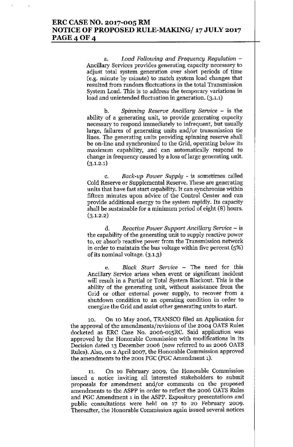### ERC CASE NO. 2017-005 RM NOTICE OF PROPOSED RULE-MAKING/ 17JULY 2017 PAGE 4 OF 4

a. *Load Following and Frequency Regulation -* Ancillary Services provides generating capacity necessary to adjust total system generation over short periods of time (e.g. minute by minute) to match system load changes that resulted from random fluctuations in the total Transmission System Load. This is to address the temporary variations in load and unintended fluctuation in generation. (3.1.1)

b. *Spinning Reserve Ancillary Service -* is the ability of a generating unit, to provide generating capacity necessary to respond immediately to infrequent, but usually large, failures of generating units and/or transmission tie lines. The generating units providing spinning reserve shall be on-line and synchronized to the Grid, operating below its maximum capability, and can automatically respond to change in frequency caused by a loss of large generating unit.  $(3.1.2.1)$ 

c. *Back-up Power Supply -* is sometimes called Cold Reserve or Supplemental Reserve. These are generating units that have fast start capability. It can synchronize within fifteen minutes upon advice of the Control Center and can provide additional energy to the system rapidly. Its capacity shall be sustainable for a minimum period of eight (8) hours.  $(3.1.2.2)$ 

d. *Reactive Power Support Ancillary Service -* is the capability of the generating unit to supply reactive power to, or absorb reactive power from the Transmission network in order to maintain the bus voltage within five percent (5%) of its nominal voltage. (3.1.3)

e. *Black Start Service -* The need for this Ancillary Service arises when event or significant incident will result in a Partial or Total System Blackout. This is the ability of the generating unit, without assistance from the Grid or other external power supply, to recover from a shutdown condition to an operating condition in order to energize the Grid and assist other generating units to start.

10. On 10 May 2006, TRANSCO filed an Application for the approval of the amendments/revisions of the 2004 OATS Rules docketed as ERC Case No. 2006-015RC. Said application was approved by the Honorable Commission with modifications in its Decision dated 13 December 2006 (now referred to as 2006 OATS Rules). Also, on 2 April 2007, the Honorable Commission approved the amendments to the 2001 PGC (PGC Amendment 1).

11. On 10 February 2009, the Honorable Commission issued a notice inviting all interested stakeholders to submit proposals for amendment and/or comments on the proposed amendments to the ASPP in order to reflect the 2006 OATS Rules and PGC Amendment 1in the ASPP. Expository presentations and public consultations were held on 17 to 20 February 2009. Thereafter, the Honorable Commission again issued several notices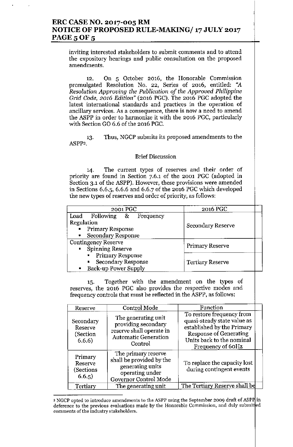# **ERC CASE NO. 2017-005 RM** , **NOTICE OF PROPOSED RULE-MAKING/ 17 JULY 2017 PAGE 5 OF 5**

**inviting interested stakeholders to submit comments and to attend the expository hearings and public consultation on the proposed amendments.**

12. On 5 October **2016,** the Honorable **Commission promulgated Resolution No. 22, Series of 2016, entitled: "A** *Resolution Approving the Publication of the Approved Philippine Grid Code, 2016 Edition"* (2016 PGC). The 2016 PGC adopted the **latest international standards and practices in the operation of ancillary services. As a consequence, there is now a need to amend** the ASPP in order to harmonize it with the 2016 PGC, particularly with Section GO 6.6 of the 2016 PGC.

13. **Thus, NGCP submits its proposed amendments to the** ASPP3.

#### **Brief Discussion**

14. **The current types of reserves and their order of** priority are found in Section 7.6.1 of the 2001 PGC (adopted in **Section 3.1 of the ASPP). However, these provisions were amended** in Sections 6.6.5, 6.6.6 and 6.6.7 of the 2016 PGC which developed **the new types of reserves and order of priority, as follows:**

| 2001 PGC                                    | 2016 PGC                |
|---------------------------------------------|-------------------------|
| Load Following & Frequency                  |                         |
| Regulation                                  | Secondary Reserve       |
| <b>Primary Response</b>                     |                         |
| • Secondary Response                        |                         |
| <b>Contingency Reserve</b>                  | Primary Reserve         |
| <b>Spinning Reserve</b>                     |                         |
| <b>Primary Response</b><br>н.               |                         |
| <b>Secondary Response</b><br>$\blacksquare$ | <b>Tertiary Reserve</b> |
| • Back-up Power Supply                      |                         |

15. Together with the **amendment** on the types of **reserves, the 2016 PGC also provides the respective modes and** frequency controls that must be reflected in the ASPP, as follows:

| Reserve                                     | Control Mode                                                                                                     | Function                                                                                                                                                                  |  |
|---------------------------------------------|------------------------------------------------------------------------------------------------------------------|---------------------------------------------------------------------------------------------------------------------------------------------------------------------------|--|
| Secondary<br>Reserve<br>(Section)<br>6.6.6) | The generating unit<br>providing secondary<br>reserve shall operate in<br><b>Automatic Generation</b><br>Control | To restore frequency from<br>quasi-steady state value as<br>established by the Primary<br><b>Response of Generating</b><br>Units back to the nominal<br>Frequency of 60Hz |  |
| Primary<br>Reserve<br>(Sections<br>6.6.5)   | The primary reserve<br>shall be provided by the<br>generating units<br>operating under<br>Governor Control Mode  | To replace the capacity lost<br>during contingent events                                                                                                                  |  |
| Tertiary                                    | The generating unit                                                                                              | The Tertiary Reserve shall be                                                                                                                                             |  |

<sup>3</sup> **NGCP opted to introduce amendments to the ASPP using the September 2009 draft of ASP** in **deference to the previous evaluations made by the Honorable Commission, and duly submi** ed **comments of the industry stakeholders.**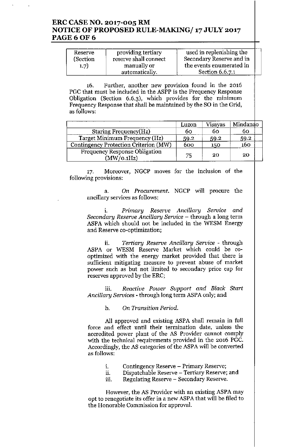### **ERC CASE NO. 2017-005 RM NOTICE OF PROPOSED RULE-MAKING/ 17JULY 2017 PAGE60F6**

| Reserve<br>(Section | providing tertiary<br>reserve shall connect | used in replenishing the<br>Secondary Reserve and in |
|---------------------|---------------------------------------------|------------------------------------------------------|
| 1.7)                | manually or                                 | the events enumerated in                             |
|                     | automatically.                              | Section 6.6.7.1                                      |

**16. Further, another new proVIsIon found In the 2016** .. . PGC that must be included in the ASPP is the Frequency Response Obligation (Section 6.6.3), which provides for the minimum Frequency Response that shall be maintained by the SO in the Grid, as follows:

|                                                    | Luzon | Visayas | Mindanao |  |
|----------------------------------------------------|-------|---------|----------|--|
| Staring Frequency(Hz)                              | 60    | 60      | 60       |  |
| Target Minimum Frequency (Hz)                      | 59.2  | 59.2    | 59.2     |  |
| Contingency Protection Criterion (MW)              | 600   | 150     | 160      |  |
| <b>Frequency Response Obligation</b><br>(MW/O.1Hz) | 75    | -20     | 20       |  |

**17. Moreover, NGCP moves for the inclusion of the following provisions:**

a. *On Procurement.* NGCP will procure the **ancillary services as follows:**

**i.** *Primary Reserve Ancillary Service and Secondary Reserve Ancillary Service -* **through a long term** ASPA which should not be included in the WESM Energy **and Reserve co-optimization;**

**ii.** *Tertiary Reserve Ancillary Service -* **through** ASPA or WESM Reserve Market which could be cooptimized with the energy market provided that there is **sufficient mitigating measure to prevent abuse of market power such as but not limited to secondary price cap for** reserves approved by the ERC;

**lll.** *Reactive Power Support and Black Start Ancillary Services -* through long term ASPA only; and

**b. On***Transition Period.*

All approved and existing ASPA shall remain in full **force and effect until their termination date, unless the accredited power plant of the AS Provider cannot comply** with the technical requirements provided in the 2016 PGc. Accordingly, the AS categories of the ASPA will be converted **as follows:**

- **1. Contingency Reserve - Primary Reserve;**
- **11. Dispatchable Reserve - Tertiary Reserve; and**
- **lll. Regulating Reserve - Secondary Reserve.**

**However, the AS Provider with an existing** ASP A **may** opt to renegotiate its offer in a new ASPA that will be filed to **the Honorable Commission for approval.**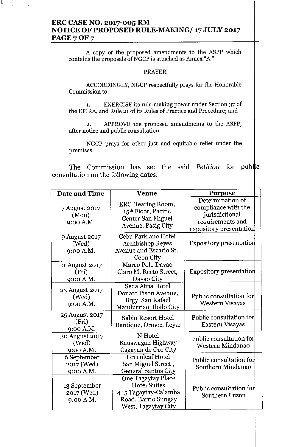# **ERC CASE NO. 2017-005 RM NOTICE OF PROPOSED RULE-MAKING/ 17 JULY 2017 PAGE 7 OF 7**

J.

A copy of the proposed amendments to the ASPP which **contains** the proposals of NGCP is attached as Annex "A."

#### PRAYER

ACCORDINGLY, NGCP respectfully prays for the Honorable **Commission to:**

1. EXERCISEits rule-making power under Section 37 of the EPIRA, and Rule 21 of its Rules of Practice and Procedure; and

2. APPROVE the proposed amendments to the ASPP, **after notice and public consultation.**

NGCP prays for other just and equitable relief under the **premIses.**

The Commission has set the said *Petition* for public consultation on the following dates:

| Date and Time                           | <b>Venue</b>                                                                                                    | Purpose                                                                                                  |  |
|-----------------------------------------|-----------------------------------------------------------------------------------------------------------------|----------------------------------------------------------------------------------------------------------|--|
| 7 August 2017<br>(Mon)<br>9:00 A.M.     | <b>ERC Hearing Room,</b><br>15 <sup>th</sup> Floor, Pacific<br>Center San Miguel<br>Avenue, Pasig City          | Determination of<br>compliance with the<br>jurisdictional<br>requirements and<br>expository presentation |  |
| 9 August 2017<br>(Wed)<br>9:00 A.M.     | Cebu Parklane Hotel<br><b>Archbishop Reyes</b><br>Avenue and Escario St.,<br>Cebu City                          | <b>Expository presentation</b>                                                                           |  |
| 11 August 2017<br>(Fri)<br>9:00 A.M.    | Marco Polo Davao<br>Claro M. Recto Street,<br>Davao City                                                        | <b>Expository presentation</b>                                                                           |  |
| 23 August 2017<br>(Wed)<br>9:00 A.M.    | Seda Atria Hotel<br>Donato Pison Avenue,<br>Brgy. San Rafael<br>Mandurriao, Iloilo City                         | Public consultation for<br>Western Visayas                                                               |  |
| 25 August 2017<br>(Fri)<br>9:00 A.M.    | Sabin Resort Hotel<br>Bantique, Ormoc, Leyte                                                                    | Public consultation for<br>Eastern Visayas                                                               |  |
| 30 August 2017<br>(Wed)<br>9:00 A.M.    | N Hotel<br>Kauswagan Highway<br>Cagayan de Oro City                                                             | Public consultation for<br>Western Mindanao                                                              |  |
| 6 September<br>2017 (Wed)<br>9:00 A.M.  | <b>Greenleaf Hotel</b><br>San Miguel Street,<br><b>General Santos City</b>                                      | Public consultation for<br>Southern Mindanao                                                             |  |
| 13 September<br>2017 (Wed)<br>9:00 A.M. | One Tagaytay Place<br><b>Hotel Suites</b><br>445 Tagaytay-Calamba<br>Road, Barrio Sungay<br>West, Tagaytay City | Public consultation for<br>Southern Luzon                                                                |  |